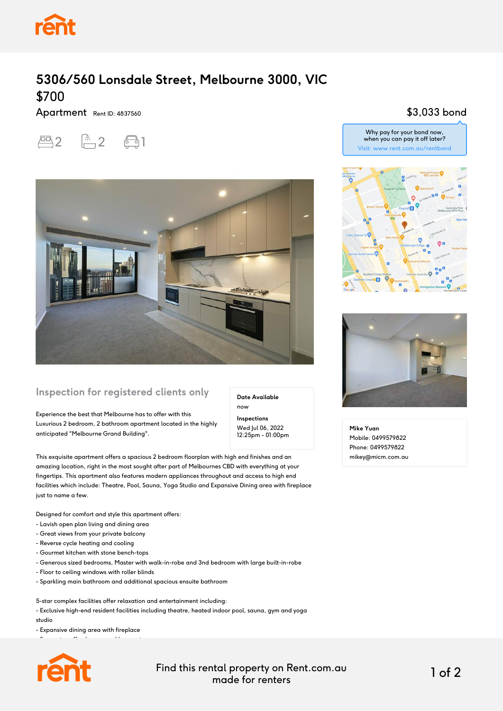

# **5306/560 Lonsdale Street, Melbourne 3000, VIC** \$700

Apartment Rent ID: 4837560





### **Inspection for registered clients only**

Experience the best that Melbourne has to offer with this Luxurious 2 bedroom, 2 bathroom apartment located in the highly anticipated "Melbourne Grand Building".

**Date Available** now

**Inspections** Wed Jul 06, 2022 12:25pm - 01:00pm

This exquisite apartment offers a spacious 2 bedroom floorplan with high end finishes and an amazing location, right in the most sought after part of Melbournes CBD with everything at your fingertips. This apartment also features modern appliances throughout and access to high end facilities which include: Theatre, Pool, Sauna, Yoga Studio and Expansive Dining area with fireplace just to name a few.

Designed for comfort and style this apartment offers:

- Lavish open plan living and dining area
- Great views from your private balcony
- Reverse cycle heating and cooling
- Gourmet kitchen with stone bench-tops
- Generous sized bedrooms, Master with walk-in-robe and 3nd bedroom with large built-in-robe
- Floor to ceiling windows with roller blinds
- Sparkling main bathroom and additional spacious ensuite bathroom

5-star complex facilities offer relaxation and entertainment including:

- Exclusive high-end resident facilities including theatre, heated indoor pool, sauna, gym and yoga studio

- Expansive dining area with fireplace

- Separate coffee lounge and banquet room



Find this rental property on Rent.com.au made for renters 1 of 2

#### \$3,033 bond



Why pay for your bond now, when you can pay it off later?



**Mike Yuan** Mobile: 0499579822 Phone: 0499579822 mikey@micm.com.au